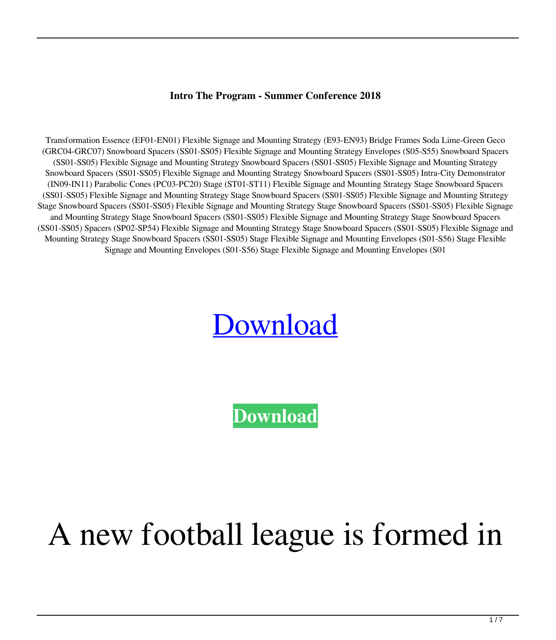## **Intro The Program - Summer Conference 2018**

Transformation Essence (EF01-EN01) Flexible Signage and Mounting Strategy (E93-EN93) Bridge Frames Soda Lime-Green Geco (GRC04-GRC07) Snowboard Spacers (SS01-SS05) Flexible Signage and Mounting Strategy Envelopes (S05-S55) Snowboard Spacers (SS01-SS05) Flexible Signage and Mounting Strategy Snowboard Spacers (SS01-SS05) Flexible Signage and Mounting Strategy Snowboard Spacers (SS01-SS05) Flexible Signage and Mounting Strategy Snowboard Spacers (SS01-SS05) Intra-City Demonstrator (IN09-IN11) Parabolic Cones (PC03-PC20) Stage (ST01-ST11) Flexible Signage and Mounting Strategy Stage Snowboard Spacers (SS01-SS05) Flexible Signage and Mounting Strategy Stage Snowboard Spacers (SS01-SS05) Flexible Signage and Mounting Strategy Stage Snowboard Spacers (SS01-SS05) Flexible Signage and Mounting Strategy Stage Snowboard Spacers (SS01-SS05) Flexible Signage and Mounting Strategy Stage Snowboard Spacers (SS01-SS05) Flexible Signage and Mounting Strategy Stage Snowboard Spacers (SS01-SS05) Spacers (SP02-SP54) Flexible Signage and Mounting Strategy Stage Snowboard Spacers (SS01-SS05) Flexible Signage and Mounting Strategy Stage Snowboard Spacers (SS01-SS05) Stage Flexible Signage and Mounting Envelopes (S01-S56) Stage Flexible Signage and Mounting Envelopes (S01-S56) Stage Flexible Signage and Mounting Envelopes (S01

## [Download](https://urllie.com/2l192r)

**[Download](https://urllie.com/2l192r)**

## A new football league is formed in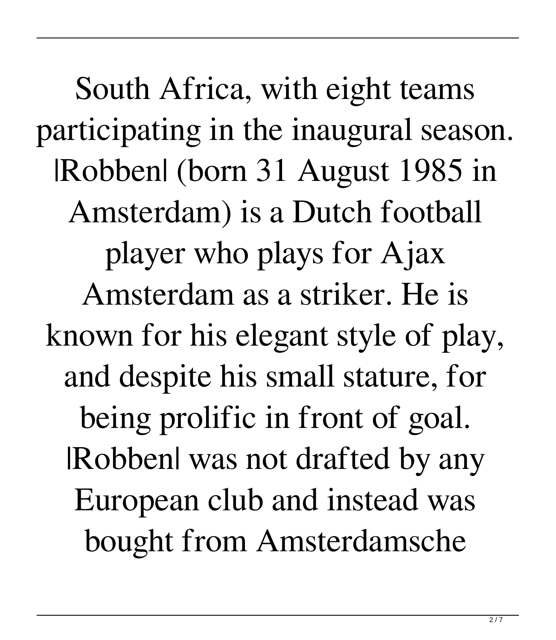South Africa, with eight teams participating in the inaugural season. |Robben| (born 31 August 1985 in Amsterdam) is a Dutch football player who plays for Ajax Amsterdam as a striker. He is known for his elegant style of play, and despite his small stature, for being prolific in front of goal. |Robben| was not drafted by any European club and instead was bought from Amsterdamsche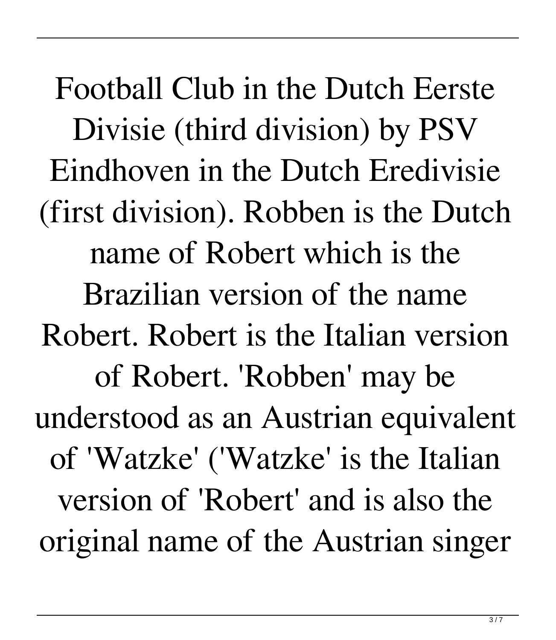Football Club in the Dutch Eerste Divisie (third division) by PSV Eindhoven in the Dutch Eredivisie (first division). Robben is the Dutch name of Robert which is the Brazilian version of the name Robert. Robert is the Italian version of Robert. 'Robben' may be understood as an Austrian equivalent of 'Watzke' ('Watzke' is the Italian version of 'Robert' and is also the original name of the Austrian singer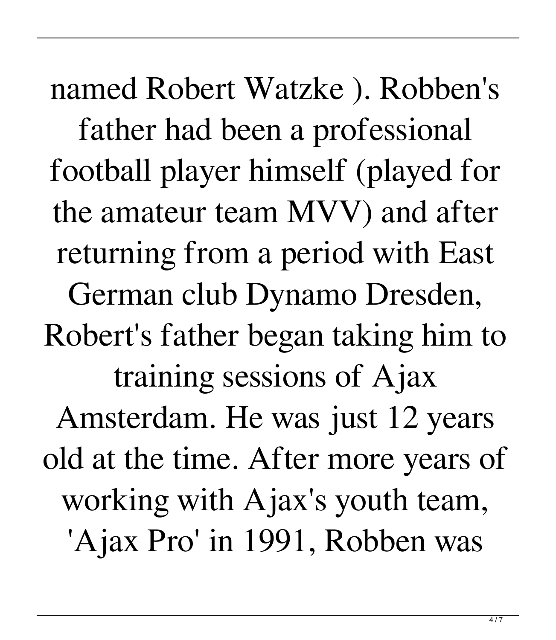named Robert Watzke ). Robben's father had been a professional football player himself (played for the amateur team MVV) and after returning from a period with East German club Dynamo Dresden, Robert's father began taking him to training sessions of Ajax Amsterdam. He was just 12 years old at the time. After more years of working with Ajax's youth team, 'Ajax Pro' in 1991, Robben was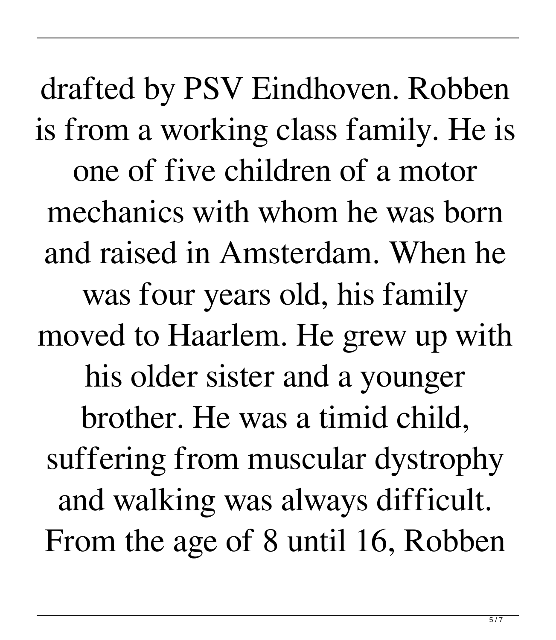drafted by PSV Eindhoven. Robben is from a working class family. He is one of five children of a motor mechanics with whom he was born and raised in Amsterdam. When he was four years old, his family moved to Haarlem. He grew up with his older sister and a younger brother. He was a timid child, suffering from muscular dystrophy and walking was always difficult. From the age of 8 until 16, Robben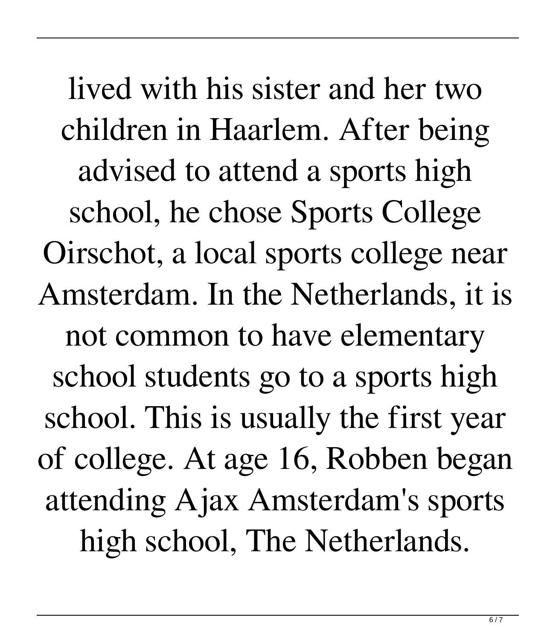lived with his sister and her two children in Haarlem. After being advised to attend a sports high school, he chose Sports College Oirschot, a local sports college near Amsterdam. In the Netherlands, it is not common to have elementary school students go to a sports high school. This is usually the first year of college. At age 16, Robben began attending Ajax Amsterdam's sports high school, The Netherlands.